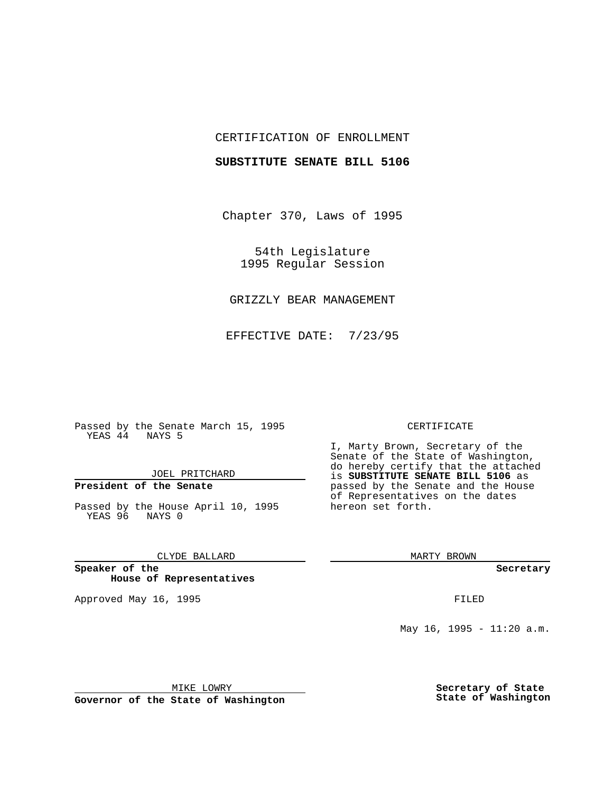## CERTIFICATION OF ENROLLMENT

## **SUBSTITUTE SENATE BILL 5106**

Chapter 370, Laws of 1995

54th Legislature 1995 Regular Session

# GRIZZLY BEAR MANAGEMENT

EFFECTIVE DATE: 7/23/95

Passed by the Senate March 15, 1995 YEAS 44 NAYS 5

## JOEL PRITCHARD

# **President of the Senate**

Passed by the House April 10, 1995 YEAS 96 NAYS 0

## CLYDE BALLARD

**Speaker of the House of Representatives**

Approved May 16, 1995 FILED

#### CERTIFICATE

I, Marty Brown, Secretary of the Senate of the State of Washington, do hereby certify that the attached is **SUBSTITUTE SENATE BILL 5106** as passed by the Senate and the House of Representatives on the dates hereon set forth.

MARTY BROWN

**Secretary**

May 16, 1995 - 11:20 a.m.

MIKE LOWRY

**Governor of the State of Washington**

**Secretary of State State of Washington**